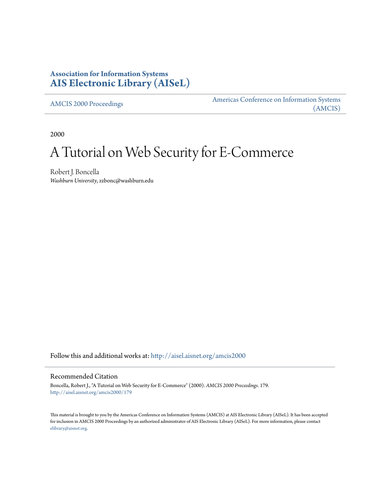## **Association for Information Systems [AIS Electronic Library \(AISeL\)](http://aisel.aisnet.org?utm_source=aisel.aisnet.org%2Famcis2000%2F179&utm_medium=PDF&utm_campaign=PDFCoverPages)**

[AMCIS 2000 Proceedings](http://aisel.aisnet.org/amcis2000?utm_source=aisel.aisnet.org%2Famcis2000%2F179&utm_medium=PDF&utm_campaign=PDFCoverPages)

[Americas Conference on Information Systems](http://aisel.aisnet.org/amcis?utm_source=aisel.aisnet.org%2Famcis2000%2F179&utm_medium=PDF&utm_campaign=PDFCoverPages) [\(AMCIS\)](http://aisel.aisnet.org/amcis?utm_source=aisel.aisnet.org%2Famcis2000%2F179&utm_medium=PDF&utm_campaign=PDFCoverPages)

2000

# A Tutorial on Web Security for E-Commerce

Robert J. Boncella *Washburn University*, zzbonc@washburn.edu

Follow this and additional works at: [http://aisel.aisnet.org/amcis2000](http://aisel.aisnet.org/amcis2000?utm_source=aisel.aisnet.org%2Famcis2000%2F179&utm_medium=PDF&utm_campaign=PDFCoverPages)

#### Recommended Citation

Boncella, Robert J., "A Tutorial on Web Security for E-Commerce" (2000). *AMCIS 2000 Proceedings*. 179. [http://aisel.aisnet.org/amcis2000/179](http://aisel.aisnet.org/amcis2000/179?utm_source=aisel.aisnet.org%2Famcis2000%2F179&utm_medium=PDF&utm_campaign=PDFCoverPages)

This material is brought to you by the Americas Conference on Information Systems (AMCIS) at AIS Electronic Library (AISeL). It has been accepted for inclusion in AMCIS 2000 Proceedings by an authorized administrator of AIS Electronic Library (AISeL). For more information, please contact [elibrary@aisnet.org.](mailto:elibrary@aisnet.org%3E)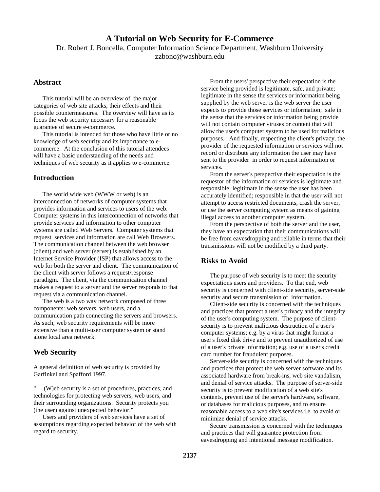## **A Tutorial on Web Security for E-Commerce**

Dr. Robert J. Boncella, Computer Information Science Department, Washburn University zzbonc@washburn.edu

#### **Abstract**

This tutorial will be an overview of the major categories of web site attacks, their effects and their possible countermeasures. The overview will have as its focus the web security necessary for a reasonable guarantee of secure e-commerce.

This tutorial is intended for those who have little or no knowledge of web security and its importance to ecommerce. At the conclusion of this tutorial attendees will have a basic understanding of the needs and techniques of web security as it applies to e-commerce.

#### **Introduction**

The world wide web (WWW or web) is an interconnection of networks of computer systems that provides information and services to users of the web. Computer systems in this interconnection of networks that provide services and information to other computer systems are called Web Servers. Computer systems that request services and information are call Web Browsers. The communication channel between the web browser (client) and web server (server) is established by an Internet Service Provider (ISP) that allows access to the web for both the server and client. The communication of the client with server follows a request/response paradigm. The client, via the communication channel makes a request to a server and the server responds to that request via a communication channel.

The web is a two way network composed of three components: web servers, web users, and a communication path connecting the servers and browsers. As such, web security requirements will be more extensive than a multi-user computer system or stand alone local area network.

#### **Web Security**

A general definition of web security is provided by Garfinkel and Spafford 1997.

"… (W)eb security is a set of procedures, practices, and technologies for protecting web servers, web users, and their surrounding organizations. Security protects you (the user) against unexpected behavior."

Users and providers of web services have a set of assumptions regarding expected behavior of the web with regard to security.

From the users' perspective their expectation is the service being provided is legitimate, safe, and private; legitimate in the sense the services or information being supplied by the web server is the web server the user expects to provide those services or information; safe in the sense that the services or information being provide will not contain computer viruses or content that will allow the user's computer system to be used for malicious purposes. And finally, respecting the client's privacy, the provider of the requested information or services will not record or distribute any information the user may have sent to the provider in order to request information or services.

From the server's perspective their expectation is the requestor of the information or services is legitimate and responsible; legitimate in the sense the user has been accurately identified; responsible in that the user will not attempt to access restricted documents, crash the server, or use the server computing system as means of gaining illegal access to another computer system.

From the perspective of both the server and the user, they have an expectation that their communications will be free from eavesdropping and reliable in terms that their transmissions will not be modified by a third party.

#### **Risks to Avoid**

 The purpose of web security is to meet the security expectations users and providers. To that end, web security is concerned with client-side security, server-side security and secure transmission of information.

Client-side security is concerned with the techniques and practices that protect a user's privacy and the integrity of the user's computing system. The purpose of clientsecurity is to prevent malicious destruction of a user's computer systems; e.g. by a virus that might format a user's fixed disk drive and to prevent unauthorized of use of a user's private information; e.g. use of a user's credit card number for fraudulent purposes.

Server-side security is concerned with the techniques and practices that protect the web server software and its associated hardware from break-ins, web site vandalism, and denial of service attacks. The purpose of server-side security is to prevent modification of a web site's contents, prevent use of the server's hardware, software, or databases for malicious purposes, and to ensure reasonable access to a web site's services i.e. to avoid or minimize denial of service attacks.

Secure transmission is concerned with the techniques and practices that will guarantee protection from eavesdropping and intentional message modification.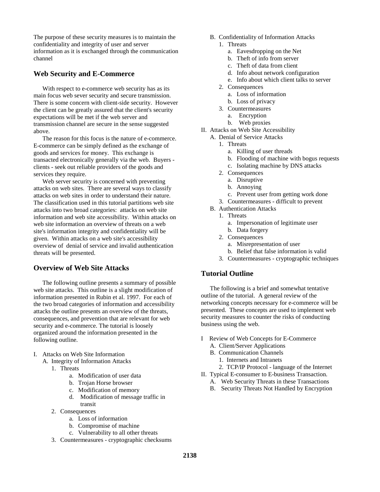The purpose of these security measures is to maintain the confidentiality and integrity of user and server information as it is exchanged through the communication channel

### **Web Security and E-Commerce**

With respect to e-commerce web security has as its main focus web sever security and secure transmission. There is some concern with client-side security. However the client can be greatly assured that the client's security expectations will be met if the web server and transmission channel are secure in the sense suggested above.

The reason for this focus is the nature of e-commerce. E-commerce can be simply defined as the exchange of goods and services for money. This exchange is transacted electronically generally via the web. Buyers clients - seek out reliable providers of the goods and services they require.

Web server security is concerned with preventing attacks on web sites. There are several ways to classify attacks on web sites in order to understand their nature. The classification used in this tutorial partitions web site attacks into two broad categories: attacks on web site information and web site accessibility. Within attacks on web site information an overview of threats on a web site's information integrity and confidentiality will be given. Within attacks on a web site's accessibility overview of denial of service and invalid authentication threats will be presented.

### **Overview of Web Site Attacks**

The following outline presents a summary of possible web site attacks. This outline is a slight modification of information presented in Rubin et al. 1997. For each of the two broad categories of information and accessibility attacks the outline presents an overview of the threats, consequences, and prevention that are relevant for web security and e-commerce. The tutorial is loosely organized around the information presented in the following outline.

- I. Attacks on Web Site Information
	- A. Integrity of Information Attacks
		- 1. Threats
			- a. Modification of user data
			- b. Trojan Horse browser
			- c. Modification of memory
			- d. Modification of message traffic in transit
		- 2. Consequences
			- a. Loss of information
			- b. Compromise of machine
			- c. Vulnerability to all other threats
		- 3. Countermeasures cryptographic checksums
- B. Confidentiality of Information Attacks
	- 1. Threats
		- a. Eavesdropping on the Net
		- b. Theft of info from server
		- c. Theft of data from client
		- d. Info about network configuration
		- e. Info about which client talks to server
	- 2. Consequences
		- a. Loss of information
		- b. Loss of privacy
	- 3. Countermeasures
		- a. Encryption
		- b. Web proxies
- II. Attacks on Web Site Accessibility
	- A. Denial of Service Attacks
		- 1. Threats
			- a. Killing of user threads
			- b. Flooding of machine with bogus requests
			- c. Isolating machine by DNS attacks
		- 2. Consequences
			- a. Disruptive
			- b. Annoying
			- c. Prevent user from getting work done
		- 3. Countermeasures difficult to prevent
	- B. Authentication Attacks
		- 1. Threats
			- a. Impersonation of legitimate user
			- b. Data forgery
		- 2. Consequences
			- a. Misrepresentation of user
			- b. Belief that false information is valid
		- 3. Countermeasures cryptographic techniques

### **Tutorial Outline**

The following is a brief and somewhat tentative outline of the tutorial. A general review of the networking concepts necessary for e-commerce will be presented. These concepts are used to implement web security measures to counter the risks of conducting business using the web.

- I Review of Web Concepts for E-Commerce
	- A. Client/Server Applications
	- B. Communication Channels
		- 1. Internets and Intranets
	- 2. TCP/IP Protocol language of the Internet
- II. Typical E-consumer to E-business Transaction.
	- A. Web Security Threats in these Transactions
	- B. Security Threats Not Handled by Encryption